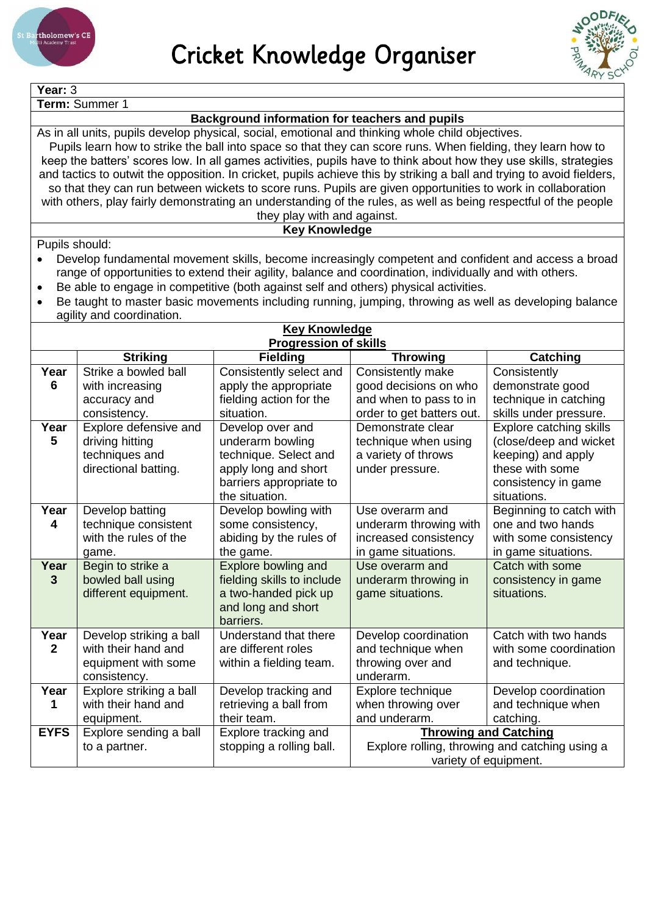



**Year:** 3

**Term:** Summer 1

## **Background information for teachers and pupils**

As in all units, pupils develop physical, social, emotional and thinking whole child objectives. Pupils learn how to strike the ball into space so that they can score runs. When fielding, they learn how to keep the batters' scores low. In all games activities, pupils have to think about how they use skills, strategies and tactics to outwit the opposition. In cricket, pupils achieve this by striking a ball and trying to avoid fielders, so that they can run between wickets to score runs. Pupils are given opportunities to work in collaboration with others, play fairly demonstrating an understanding of the rules, as well as being respectful of the people

## they play with and against.

## **Key Knowledge**

Pupils should:

- Develop fundamental movement skills, become increasingly competent and confident and access a broad range of opportunities to extend their agility, balance and coordination, individually and with others.
- Be able to engage in competitive (both against self and others) physical activities.
- Be taught to master basic movements including running, jumping, throwing as well as developing balance agility and coordination.

| <b>Key Knowledge</b> |                              |                            |                                                |                         |  |  |  |  |
|----------------------|------------------------------|----------------------------|------------------------------------------------|-------------------------|--|--|--|--|
|                      | <b>Progression of skills</b> |                            |                                                |                         |  |  |  |  |
|                      | <b>Striking</b>              | <b>Fielding</b>            | <b>Throwing</b>                                | Catching                |  |  |  |  |
| Year                 | Strike a bowled ball         | Consistently select and    | Consistently make                              | Consistently            |  |  |  |  |
| 6                    | with increasing              | apply the appropriate      | good decisions on who                          | demonstrate good        |  |  |  |  |
|                      | accuracy and                 | fielding action for the    | and when to pass to in                         | technique in catching   |  |  |  |  |
|                      | consistency.                 | situation.                 | order to get batters out.                      | skills under pressure.  |  |  |  |  |
| Year                 | Explore defensive and        | Develop over and           | Demonstrate clear                              | Explore catching skills |  |  |  |  |
| 5                    | driving hitting              | underarm bowling           | technique when using                           | (close/deep and wicket  |  |  |  |  |
|                      | techniques and               | technique. Select and      | a variety of throws                            | keeping) and apply      |  |  |  |  |
|                      | directional batting.         | apply long and short       | under pressure.                                | these with some         |  |  |  |  |
|                      |                              | barriers appropriate to    |                                                | consistency in game     |  |  |  |  |
|                      |                              | the situation.             |                                                | situations.             |  |  |  |  |
| Year                 | Develop batting              | Develop bowling with       | Use overarm and                                | Beginning to catch with |  |  |  |  |
| 4                    | technique consistent         | some consistency,          | underarm throwing with                         | one and two hands       |  |  |  |  |
|                      | with the rules of the        | abiding by the rules of    | increased consistency                          | with some consistency   |  |  |  |  |
|                      | game.                        | the game.                  | in game situations.                            | in game situations.     |  |  |  |  |
| Year                 | Begin to strike a            | Explore bowling and        | Use overarm and                                | Catch with some         |  |  |  |  |
| 3                    | bowled ball using            | fielding skills to include | underarm throwing in                           | consistency in game     |  |  |  |  |
|                      | different equipment.         | a two-handed pick up       | game situations.                               | situations.             |  |  |  |  |
|                      |                              | and long and short         |                                                |                         |  |  |  |  |
|                      |                              | barriers.                  |                                                |                         |  |  |  |  |
| Year                 | Develop striking a ball      | Understand that there      | Develop coordination                           | Catch with two hands    |  |  |  |  |
| $\overline{2}$       | with their hand and          | are different roles        | and technique when                             | with some coordination  |  |  |  |  |
|                      | equipment with some          | within a fielding team.    | throwing over and                              | and technique.          |  |  |  |  |
|                      | consistency.                 |                            | underarm.                                      |                         |  |  |  |  |
| Year                 | Explore striking a ball      | Develop tracking and       | Explore technique                              | Develop coordination    |  |  |  |  |
| 1                    | with their hand and          | retrieving a ball from     | when throwing over                             | and technique when      |  |  |  |  |
|                      | equipment.                   | their team.                | and underarm.                                  | catching.               |  |  |  |  |
| <b>EYFS</b>          | Explore sending a ball       | Explore tracking and       | <b>Throwing and Catching</b>                   |                         |  |  |  |  |
|                      | to a partner.                | stopping a rolling ball.   | Explore rolling, throwing and catching using a |                         |  |  |  |  |
|                      |                              |                            | variety of equipment.                          |                         |  |  |  |  |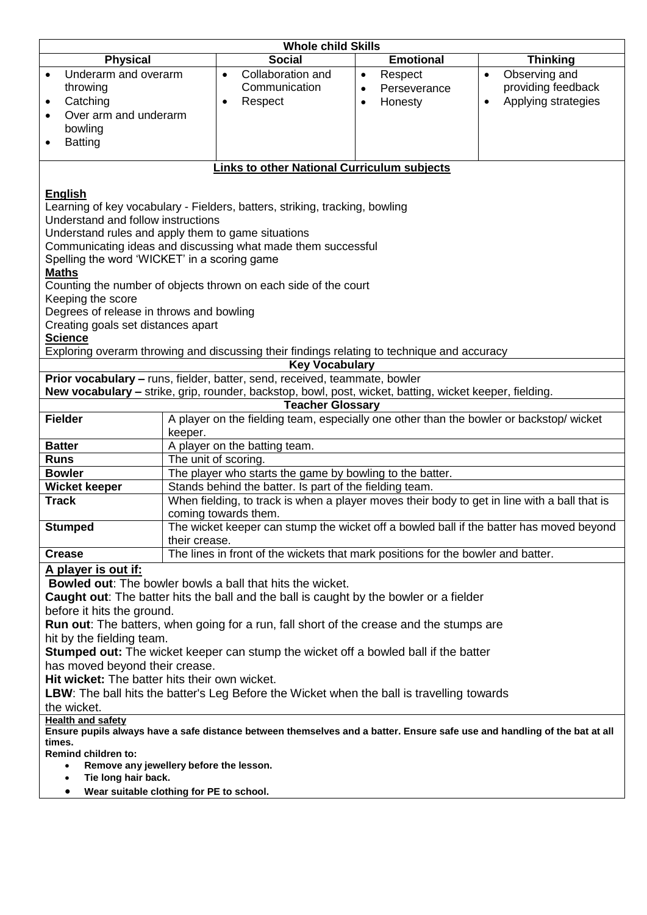|                                                                                                                                     |                      | <b>Whole child Skills</b>                                                                               |           |                  |                                                                                              |  |  |
|-------------------------------------------------------------------------------------------------------------------------------------|----------------------|---------------------------------------------------------------------------------------------------------|-----------|------------------|----------------------------------------------------------------------------------------------|--|--|
| <b>Physical</b>                                                                                                                     |                      | <b>Social</b>                                                                                           |           | <b>Emotional</b> | <b>Thinking</b>                                                                              |  |  |
| Underarm and overarm<br>$\bullet$                                                                                                   |                      | Collaboration and<br>$\bullet$                                                                          | $\bullet$ | Respect          | Observing and<br>$\bullet$                                                                   |  |  |
| throwing                                                                                                                            |                      | Communication                                                                                           | $\bullet$ | Perseverance     | providing feedback                                                                           |  |  |
| Catching<br>$\bullet$                                                                                                               |                      | Respect<br>$\bullet$                                                                                    |           | Honesty          | Applying strategies                                                                          |  |  |
| Over arm and underarm<br>$\bullet$                                                                                                  |                      |                                                                                                         |           |                  |                                                                                              |  |  |
| bowling                                                                                                                             |                      |                                                                                                         |           |                  |                                                                                              |  |  |
| <b>Batting</b><br>٠                                                                                                                 |                      |                                                                                                         |           |                  |                                                                                              |  |  |
|                                                                                                                                     |                      | <b>Links to other National Curriculum subjects</b>                                                      |           |                  |                                                                                              |  |  |
|                                                                                                                                     |                      |                                                                                                         |           |                  |                                                                                              |  |  |
| <b>English</b>                                                                                                                      |                      |                                                                                                         |           |                  |                                                                                              |  |  |
|                                                                                                                                     |                      | Learning of key vocabulary - Fielders, batters, striking, tracking, bowling                             |           |                  |                                                                                              |  |  |
| Understand and follow instructions                                                                                                  |                      |                                                                                                         |           |                  |                                                                                              |  |  |
| Understand rules and apply them to game situations                                                                                  |                      |                                                                                                         |           |                  |                                                                                              |  |  |
|                                                                                                                                     |                      | Communicating ideas and discussing what made them successful                                            |           |                  |                                                                                              |  |  |
| Spelling the word 'WICKET' in a scoring game                                                                                        |                      |                                                                                                         |           |                  |                                                                                              |  |  |
| <b>Maths</b>                                                                                                                        |                      |                                                                                                         |           |                  |                                                                                              |  |  |
|                                                                                                                                     |                      | Counting the number of objects thrown on each side of the court                                         |           |                  |                                                                                              |  |  |
| Keeping the score                                                                                                                   |                      |                                                                                                         |           |                  |                                                                                              |  |  |
| Degrees of release in throws and bowling                                                                                            |                      |                                                                                                         |           |                  |                                                                                              |  |  |
| Creating goals set distances apart                                                                                                  |                      |                                                                                                         |           |                  |                                                                                              |  |  |
| <b>Science</b>                                                                                                                      |                      | Exploring overarm throwing and discussing their findings relating to technique and accuracy             |           |                  |                                                                                              |  |  |
|                                                                                                                                     |                      | <b>Key Vocabulary</b>                                                                                   |           |                  |                                                                                              |  |  |
|                                                                                                                                     |                      | Prior vocabulary - runs, fielder, batter, send, received, teammate, bowler                              |           |                  |                                                                                              |  |  |
|                                                                                                                                     |                      | New vocabulary - strike, grip, rounder, backstop, bowl, post, wicket, batting, wicket keeper, fielding. |           |                  |                                                                                              |  |  |
|                                                                                                                                     |                      | <b>Teacher Glossary</b>                                                                                 |           |                  |                                                                                              |  |  |
| <b>Fielder</b>                                                                                                                      |                      | A player on the fielding team, especially one other than the bowler or backstop/ wicket                 |           |                  |                                                                                              |  |  |
|                                                                                                                                     | keeper.              |                                                                                                         |           |                  |                                                                                              |  |  |
| <b>Batter</b>                                                                                                                       |                      | A player on the batting team.                                                                           |           |                  |                                                                                              |  |  |
| <b>Runs</b>                                                                                                                         | The unit of scoring. |                                                                                                         |           |                  |                                                                                              |  |  |
| <b>Bowler</b>                                                                                                                       |                      | The player who starts the game by bowling to the batter.                                                |           |                  |                                                                                              |  |  |
| <b>Wicket keeper</b>                                                                                                                |                      | Stands behind the batter. Is part of the fielding team.                                                 |           |                  |                                                                                              |  |  |
| <b>Track</b>                                                                                                                        |                      |                                                                                                         |           |                  | When fielding, to track is when a player moves their body to get in line with a ball that is |  |  |
| <b>Stumped</b>                                                                                                                      |                      | coming towards them.                                                                                    |           |                  | The wicket keeper can stump the wicket off a bowled ball if the batter has moved beyond      |  |  |
|                                                                                                                                     | their crease.        |                                                                                                         |           |                  |                                                                                              |  |  |
| <b>Crease</b>                                                                                                                       |                      | The lines in front of the wickets that mark positions for the bowler and batter.                        |           |                  |                                                                                              |  |  |
| A player is out if:                                                                                                                 |                      |                                                                                                         |           |                  |                                                                                              |  |  |
|                                                                                                                                     |                      | <b>Bowled out:</b> The bowler bowls a ball that hits the wicket.                                        |           |                  |                                                                                              |  |  |
|                                                                                                                                     |                      |                                                                                                         |           |                  |                                                                                              |  |  |
| <b>Caught out:</b> The batter hits the ball and the ball is caught by the bowler or a fielder<br>before it hits the ground.         |                      |                                                                                                         |           |                  |                                                                                              |  |  |
| <b>Run out:</b> The batters, when going for a run, fall short of the crease and the stumps are                                      |                      |                                                                                                         |           |                  |                                                                                              |  |  |
| hit by the fielding team.                                                                                                           |                      |                                                                                                         |           |                  |                                                                                              |  |  |
| Stumped out: The wicket keeper can stump the wicket off a bowled ball if the batter                                                 |                      |                                                                                                         |           |                  |                                                                                              |  |  |
| has moved beyond their crease.                                                                                                      |                      |                                                                                                         |           |                  |                                                                                              |  |  |
| Hit wicket: The batter hits their own wicket.                                                                                       |                      |                                                                                                         |           |                  |                                                                                              |  |  |
| <b>LBW</b> : The ball hits the batter's Leg Before the Wicket when the ball is travelling towards                                   |                      |                                                                                                         |           |                  |                                                                                              |  |  |
| the wicket.                                                                                                                         |                      |                                                                                                         |           |                  |                                                                                              |  |  |
| <b>Health and safety</b>                                                                                                            |                      |                                                                                                         |           |                  |                                                                                              |  |  |
| Ensure pupils always have a safe distance between themselves and a batter. Ensure safe use and handling of the bat at all<br>times. |                      |                                                                                                         |           |                  |                                                                                              |  |  |
| <b>Remind children to:</b>                                                                                                          |                      |                                                                                                         |           |                  |                                                                                              |  |  |
| Remove any jewellery before the lesson.<br>$\bullet$                                                                                |                      |                                                                                                         |           |                  |                                                                                              |  |  |
| Tie long hair back.<br>$\bullet$                                                                                                    |                      |                                                                                                         |           |                  |                                                                                              |  |  |
| Wear suitable clothing for PE to school.<br>٠                                                                                       |                      |                                                                                                         |           |                  |                                                                                              |  |  |